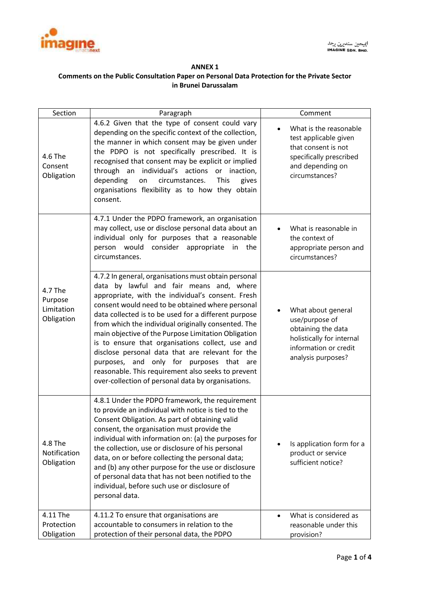

## **ANNEX 1 Comments on the Public Consultation Paper on Personal Data Protection for the Private Sector in Brunei Darussalam**

| Section                                        | Paragraph                                                                                                                                                                                                                                                                                                                                                                                                                                                                                                                                                                                                                                          | Comment                                                                                                                                 |
|------------------------------------------------|----------------------------------------------------------------------------------------------------------------------------------------------------------------------------------------------------------------------------------------------------------------------------------------------------------------------------------------------------------------------------------------------------------------------------------------------------------------------------------------------------------------------------------------------------------------------------------------------------------------------------------------------------|-----------------------------------------------------------------------------------------------------------------------------------------|
| 4.6 The<br>Consent<br>Obligation               | 4.6.2 Given that the type of consent could vary<br>depending on the specific context of the collection,<br>the manner in which consent may be given under<br>the PDPO is not specifically prescribed. It is<br>recognised that consent may be explicit or implied<br>through an individual's actions or inaction,<br>depending<br>This<br>circumstances.<br>gives<br>on<br>organisations flexibility as to how they obtain<br>consent.                                                                                                                                                                                                             | What is the reasonable<br>test applicable given<br>that consent is not<br>specifically prescribed<br>and depending on<br>circumstances? |
|                                                | 4.7.1 Under the PDPO framework, an organisation<br>may collect, use or disclose personal data about an<br>individual only for purposes that a reasonable<br>person would consider appropriate in<br>the<br>circumstances.                                                                                                                                                                                                                                                                                                                                                                                                                          | What is reasonable in<br>the context of<br>appropriate person and<br>circumstances?                                                     |
| 4.7 The<br>Purpose<br>Limitation<br>Obligation | 4.7.2 In general, organisations must obtain personal<br>data by lawful and fair means and, where<br>appropriate, with the individual's consent. Fresh<br>consent would need to be obtained where personal<br>data collected is to be used for a different purpose<br>from which the individual originally consented. The<br>main objective of the Purpose Limitation Obligation<br>is to ensure that organisations collect, use and<br>disclose personal data that are relevant for the<br>purposes, and only for purposes that<br>are<br>reasonable. This requirement also seeks to prevent<br>over-collection of personal data by organisations. | What about general<br>use/purpose of<br>obtaining the data<br>holistically for internal<br>information or credit<br>analysis purposes?  |
| 4.8 The<br>Notification<br>Obligation          | 4.8.1 Under the PDPO framework, the requirement<br>to provide an individual with notice is tied to the<br>Consent Obligation. As part of obtaining valid<br>consent, the organisation must provide the<br>individual with information on: (a) the purposes for<br>the collection, use or disclosure of his personal<br>data, on or before collecting the personal data;<br>and (b) any other purpose for the use or disclosure<br>of personal data that has not been notified to the<br>individual, before such use or disclosure of<br>personal data.                                                                                             | Is application form for a<br>product or service<br>sufficient notice?                                                                   |
| 4.11 The<br>Protection<br>Obligation           | 4.11.2 To ensure that organisations are<br>accountable to consumers in relation to the<br>protection of their personal data, the PDPO                                                                                                                                                                                                                                                                                                                                                                                                                                                                                                              | What is considered as<br>reasonable under this<br>provision?                                                                            |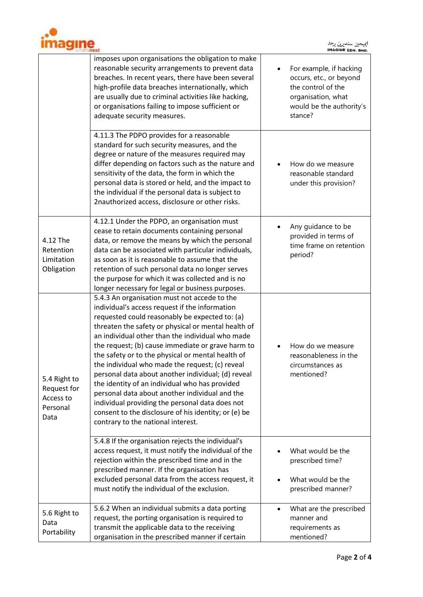

أييجين سنديرن برحد<br>INAGINE SON, BHO.

|                                                              | imposes upon organisations the obligation to make<br>reasonable security arrangements to prevent data<br>breaches. In recent years, there have been several<br>high-profile data breaches internationally, which<br>are usually due to criminal activities like hacking,<br>or organisations failing to impose sufficient or<br>adequate security measures.                                                                                                                                                                                                                                                                                                                                                                         | For example, if hacking<br>occurs, etc., or beyond<br>the control of the<br>organisation, what<br>would be the authority's<br>stance? |
|--------------------------------------------------------------|-------------------------------------------------------------------------------------------------------------------------------------------------------------------------------------------------------------------------------------------------------------------------------------------------------------------------------------------------------------------------------------------------------------------------------------------------------------------------------------------------------------------------------------------------------------------------------------------------------------------------------------------------------------------------------------------------------------------------------------|---------------------------------------------------------------------------------------------------------------------------------------|
|                                                              | 4.11.3 The PDPO provides for a reasonable<br>standard for such security measures, and the<br>degree or nature of the measures required may<br>differ depending on factors such as the nature and<br>sensitivity of the data, the form in which the<br>personal data is stored or held, and the impact to<br>the individual if the personal data is subject to<br>2nauthorized access, disclosure or other risks.                                                                                                                                                                                                                                                                                                                    | How do we measure<br>reasonable standard<br>under this provision?                                                                     |
| 4.12 The<br>Retention<br>Limitation<br>Obligation            | 4.12.1 Under the PDPO, an organisation must<br>cease to retain documents containing personal<br>data, or remove the means by which the personal<br>data can be associated with particular individuals,<br>as soon as it is reasonable to assume that the<br>retention of such personal data no longer serves<br>the purpose for which it was collected and is no<br>longer necessary for legal or business purposes.                                                                                                                                                                                                                                                                                                                | Any guidance to be<br>provided in terms of<br>time frame on retention<br>period?                                                      |
| 5.4 Right to<br>Request for<br>Access to<br>Personal<br>Data | 5.4.3 An organisation must not accede to the<br>individual's access request if the information<br>requested could reasonably be expected to: (a)<br>threaten the safety or physical or mental health of<br>an individual other than the individual who made<br>the request; (b) cause immediate or grave harm to<br>the safety or to the physical or mental health of<br>the individual who made the request; (c) reveal<br>personal data about another individual; (d) reveal<br>the identity of an individual who has provided<br>personal data about another individual and the<br>individual providing the personal data does not<br>consent to the disclosure of his identity; or (e) be<br>contrary to the national interest. | How do we measure<br>reasonableness in the<br>circumstances as<br>mentioned?                                                          |
|                                                              | 5.4.8 If the organisation rejects the individual's<br>access request, it must notify the individual of the<br>rejection within the prescribed time and in the<br>prescribed manner. If the organisation has<br>excluded personal data from the access request, it<br>must notify the individual of the exclusion.                                                                                                                                                                                                                                                                                                                                                                                                                   | What would be the<br>prescribed time?<br>What would be the<br>prescribed manner?                                                      |
| 5.6 Right to<br>Data<br>Portability                          | 5.6.2 When an individual submits a data porting<br>request, the porting organisation is required to<br>transmit the applicable data to the receiving<br>organisation in the prescribed manner if certain                                                                                                                                                                                                                                                                                                                                                                                                                                                                                                                            | What are the prescribed<br>$\bullet$<br>manner and<br>requirements as<br>mentioned?                                                   |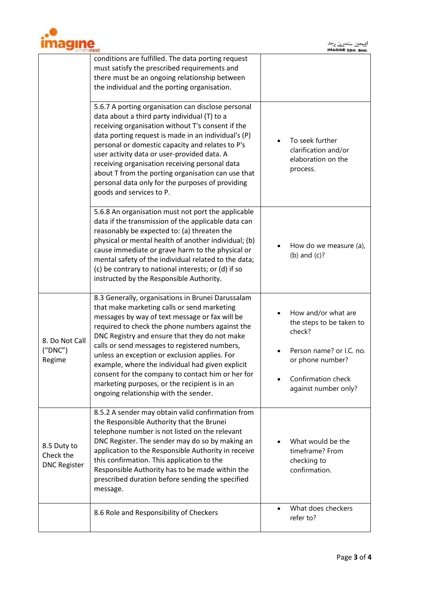

أييجين سنديرن برحد<br>INAGINE SON, BHO.

|                                                 | conditions are fulfilled. The data porting request<br>must satisfy the prescribed requirements and<br>there must be an ongoing relationship between<br>the individual and the porting organisation.                                                                                                                                                                                                                                                                                                                                                         |                                                                                                                                                         |
|-------------------------------------------------|-------------------------------------------------------------------------------------------------------------------------------------------------------------------------------------------------------------------------------------------------------------------------------------------------------------------------------------------------------------------------------------------------------------------------------------------------------------------------------------------------------------------------------------------------------------|---------------------------------------------------------------------------------------------------------------------------------------------------------|
|                                                 | 5.6.7 A porting organisation can disclose personal<br>data about a third party individual (T) to a<br>receiving organisation without T's consent if the<br>data porting request is made in an individual's (P)<br>personal or domestic capacity and relates to P's<br>user activity data or user-provided data. A<br>receiving organisation receiving personal data<br>about T from the porting organisation can use that<br>personal data only for the purposes of providing<br>goods and services to P.                                                   | To seek further<br>clarification and/or<br>elaboration on the<br>process.                                                                               |
|                                                 | 5.6.8 An organisation must not port the applicable<br>data if the transmission of the applicable data can<br>reasonably be expected to: (a) threaten the<br>physical or mental health of another individual; (b)<br>cause immediate or grave harm to the physical or<br>mental safety of the individual related to the data;<br>(c) be contrary to national interests; or (d) if so<br>instructed by the Responsible Authority.                                                                                                                             | How do we measure (a),<br>(b) and $(c)?$                                                                                                                |
| 8. Do Not Call<br>('DNC")<br>Regime             | 8.3 Generally, organisations in Brunei Darussalam<br>that make marketing calls or send marketing<br>messages by way of text message or fax will be<br>required to check the phone numbers against the<br>DNC Registry and ensure that they do not make<br>calls or send messages to registered numbers,<br>unless an exception or exclusion applies. For<br>example, where the individual had given explicit<br>consent for the company to contact him or her for<br>marketing purposes, or the recipient is in an<br>ongoing relationship with the sender. | How and/or what are<br>the steps to be taken to<br>check?<br>Person name? or I.C. no.<br>or phone number?<br>Confirmation check<br>against number only? |
| 8.5 Duty to<br>Check the<br><b>DNC Register</b> | 8.5.2 A sender may obtain valid confirmation from<br>the Responsible Authority that the Brunei<br>telephone number is not listed on the relevant<br>DNC Register. The sender may do so by making an<br>application to the Responsible Authority in receive<br>this confirmation. This application to the<br>Responsible Authority has to be made within the<br>prescribed duration before sending the specified<br>message.                                                                                                                                 | What would be the<br>timeframe? From<br>checking to<br>confirmation.                                                                                    |
|                                                 | 8.6 Role and Responsibility of Checkers                                                                                                                                                                                                                                                                                                                                                                                                                                                                                                                     | What does checkers<br>refer to?                                                                                                                         |